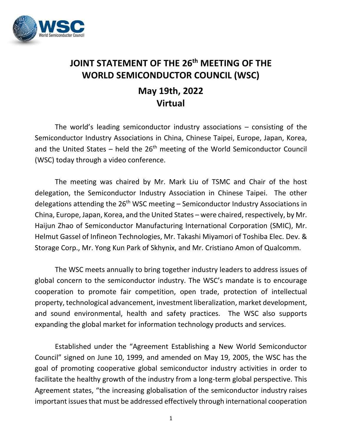

## **JOINT STATEMENT OF THE 26 th MEETING OF THE WORLD SEMICONDUCTOR COUNCIL (WSC) May 19th, 2022 Virtual**

The world's leading semiconductor industry associations – consisting of the Semiconductor Industry Associations in China, Chinese Taipei, Europe, Japan, Korea, and the United States - held the 26<sup>th</sup> meeting of the World Semiconductor Council (WSC) today through a video conference.

The meeting was chaired by Mr. Mark Liu of TSMC and Chair of the host delegation, the Semiconductor Industry Association in Chinese Taipei. The other delegations attending the 26<sup>th</sup> WSC meeting – Semiconductor Industry Associations in China, Europe, Japan, Korea, and the United States – were chaired, respectively, by Mr. Haijun Zhao of Semiconductor Manufacturing International Corporation (SMIC), Mr. Helmut Gassel of Infineon Technologies, Mr. Takashi Miyamori of Toshiba Elec. Dev. & Storage Corp., Mr. Yong Kun Park of Skhynix, and Mr. Cristiano Amon of Qualcomm.

The WSC meets annually to bring together industry leaders to address issues of global concern to the semiconductor industry. The WSC's mandate is to encourage cooperation to promote fair competition, open trade, protection of intellectual property, technological advancement, investment liberalization, market development, and sound environmental, health and safety practices. The WSC also supports expanding the global market for information technology products and services.

Established under the "Agreement Establishing a New World Semiconductor Council" signed on June 10, 1999, and amended on May 19, 2005, the WSC has the goal of promoting cooperative global semiconductor industry activities in order to facilitate the healthy growth of the industry from a long-term global perspective. This Agreement states, "the increasing globalisation of the semiconductor industry raises important issues that must be addressed effectively through international cooperation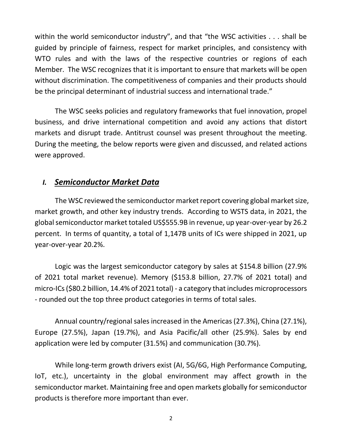within the world semiconductor industry", and that "the WSC activities . . . shall be guided by principle of fairness, respect for market principles, and consistency with WTO rules and with the laws of the respective countries or regions of each Member. The WSC recognizes that it is important to ensure that markets will be open without discrimination. The competitiveness of companies and their products should be the principal determinant of industrial success and international trade."

The WSC seeks policies and regulatory frameworks that fuel innovation, propel business, and drive international competition and avoid any actions that distort markets and disrupt trade. Antitrust counsel was present throughout the meeting. During the meeting, the below reports were given and discussed, and related actions were approved.

## *I. Semiconductor Market Data*

The WSC reviewed the semiconductor market report covering global market size, market growth, and other key industry trends. According to WSTS data, in 2021, the global semiconductor market totaled US\$555.9B in revenue, up year-over-year by 26.2 percent. In terms of quantity, a total of 1,147B units of ICs were shipped in 2021, up year-over-year 20.2%.

Logic was the largest semiconductor category by sales at \$154.8 billion (27.9% of 2021 total market revenue). Memory (\$153.8 billion, 27.7% of 2021 total) and micro-ICs (\$80.2 billion, 14.4% of 2021 total) - a category that includes microprocessors - rounded out the top three product categories in terms of total sales.

Annual country/regional sales increased in the Americas (27.3%), China (27.1%), Europe (27.5%), Japan (19.7%), and Asia Pacific/all other (25.9%). Sales by end application were led by computer (31.5%) and communication (30.7%).

While long-term growth drivers exist (AI, 5G/6G, High Performance Computing, IoT, etc.), uncertainty in the global environment may affect growth in the semiconductor market. Maintaining free and open markets globally for semiconductor products is therefore more important than ever.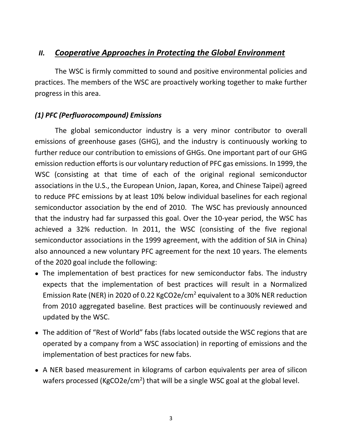## *II. Cooperative Approaches in Protecting the Global Environment*

The WSC is firmly committed to sound and positive environmental policies and practices. The members of the WSC are proactively working together to make further progress in this area.

## *(1) PFC (Perfluorocompound) Emissions*

The global semiconductor industry is a very minor contributor to overall emissions of greenhouse gases (GHG), and the industry is continuously working to further reduce our contribution to emissions of GHGs. One important part of our GHG emission reduction efforts is our voluntary reduction of PFC gas emissions. In 1999, the WSC (consisting at that time of each of the original regional semiconductor associations in the U.S., the European Union, Japan, Korea, and Chinese Taipei) agreed to reduce PFC emissions by at least 10% below individual baselines for each regional semiconductor association by the end of 2010. The WSC has previously announced that the industry had far surpassed this goal. Over the 10-year period, the WSC has achieved a 32% reduction. In 2011, the WSC (consisting of the five regional semiconductor associations in the 1999 agreement, with the addition of SIA in China) also announced a new voluntary PFC agreement for the next 10 years. The elements of the 2020 goal include the following:

- The implementation of best practices for new semiconductor fabs. The industry expects that the implementation of best practices will result in a Normalized Emission Rate (NER) in 2020 of 0.22 KgCO2e/cm<sup>2</sup> equivalent to a 30% NER reduction from 2010 aggregated baseline. Best practices will be continuously reviewed and updated by the WSC.
- The addition of "Rest of World" fabs (fabs located outside the WSC regions that are operated by a company from a WSC association) in reporting of emissions and the implementation of best practices for new fabs.
- A NER based measurement in kilograms of carbon equivalents per area of silicon wafers processed (KgCO2e/cm<sup>2</sup>) that will be a single WSC goal at the global level.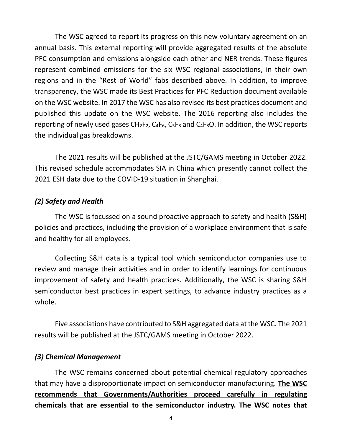The WSC agreed to report its progress on this new voluntary agreement on an annual basis. This external reporting will provide aggregated results of the absolute PFC consumption and emissions alongside each other and NER trends. These figures represent combined emissions for the six WSC regional associations, in their own regions and in the "Rest of World" fabs described above. In addition, to improve transparency, the WSC made its Best Practices for PFC Reduction document available on the WSC website. In 2017 the WSC has also revised its best practices document and published this update on the WSC website. The 2016 reporting also includes the reporting of newly used gases  $CH_2F_2$ ,  $C_4F_6$ ,  $C_5F_8$  and  $C_4F_8O$ . In addition, the WSC reports the individual gas breakdowns.

The 2021 results will be published at the JSTC/GAMS meeting in October 2022. This revised schedule accommodates SIA in China which presently cannot collect the 2021 ESH data due to the COVID-19 situation in Shanghai.

#### *(2) Safety and Health*

The WSC is focussed on a sound proactive approach to safety and health (S&H) policies and practices, including the provision of a workplace environment that is safe and healthy for all employees.

Collecting S&H data is a typical tool which semiconductor companies use to review and manage their activities and in order to identify learnings for continuous improvement of safety and health practices. Additionally, the WSC is sharing S&H semiconductor best practices in expert settings, to advance industry practices as a whole.

Five associations have contributed to S&H aggregated data at the WSC. The 2021 results will be published at the JSTC/GAMS meeting in October 2022.

#### *(3) Chemical Management*

The WSC remains concerned about potential chemical regulatory approaches that may have a disproportionate impact on semiconductor manufacturing. **The WSC recommends that Governments/Authorities proceed carefully in regulating chemicals that are essential to the semiconductor industry. The WSC notes that**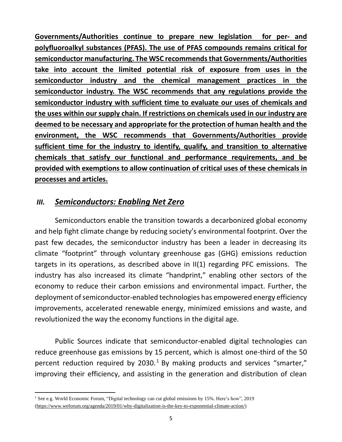**Governments/Authorities continue to prepare new legislation for per- and polyfluoroalkyl substances (PFAS). The use of PFAS compounds remains critical for semiconductor manufacturing. The WSC recommendsthat Governments/Authorities take into account the limited potential risk of exposure from uses in the semiconductor industry and the chemical management practices in the semiconductor industry. The WSC recommends that any regulations provide the semiconductor industry with sufficient time to evaluate our uses of chemicals and the uses within our supply chain. If restrictions on chemicals used in our industry are deemed to be necessary and appropriate for the protection of human health and the environment, the WSC recommends that Governments/Authorities provide sufficient time for the industry to identify, qualify, and transition to alternative chemicals that satisfy our functional and performance requirements, and be provided with exemptions to allow continuation of critical uses of these chemicals in processes and articles.** 

## *III. Semiconductors: Enabling Net Zero*

Semiconductors enable the transition towards a decarbonized global economy and help fight climate change by reducing society's environmental footprint. Over the past few decades, the semiconductor industry has been a leader in decreasing its climate "footprint" through voluntary greenhouse gas (GHG) emissions reduction targets in its operations, as described above in II(1) regarding PFC emissions. The industry has also increased its climate "handprint," enabling other sectors of the economy to reduce their carbon emissions and environmental impact. Further, the deployment of semiconductor-enabled technologies has empowered energy efficiency improvements, accelerated renewable energy, minimized emissions and waste, and revolutionized the way the economy functions in the digital age.

Public Sources indicate that semiconductor-enabled digital technologies can reduce greenhouse gas emissions by 15 percent, which is almost one-third of the 50 percent reduction required by 2030.<sup>1</sup> By making products and services "smarter," improving their efficiency, and assisting in the generation and distribution of clean

<sup>1</sup> See e.g. World Economic Forum, "Digital technology can cut global emissions by 15%. Here's how", 2019 [\(https://www.weforum.org/agenda/2019/01/why-digitalization-is-the-key-to-exponential-climate-action/\)](https://www.weforum.org/agenda/2019/01/why-digitalization-is-the-key-to-exponential-climate-action/)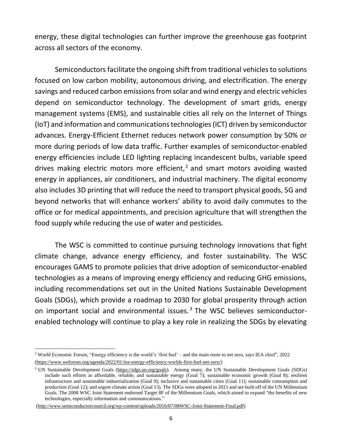energy, these digital technologies can further improve the greenhouse gas footprint across all sectors of the economy.

Semiconductors facilitate the ongoing shift from traditional vehicles to solutions focused on low carbon mobility, autonomous driving, and electrification. The energy savings and reduced carbon emissions from solar and wind energy and electric vehicles depend on semiconductor technology. The development of smart grids, energy management systems (EMS), and sustainable cities all rely on the Internet of Things (IoT) and information and communications technologies (ICT) driven by semiconductor advances. Energy-Efficient Ethernet reduces network power consumption by 50% or more during periods of low data traffic. Further examples of semiconductor-enabled energy efficiencies include LED lighting replacing incandescent bulbs, variable speed drives making electric motors more efficient,<sup>2</sup> and smart motors avoiding wasted energy in appliances, air conditioners, and industrial machinery. The digital economy also includes 3D printing that will reduce the need to transport physical goods, 5G and beyond networks that will enhance workers' ability to avoid daily commutes to the office or for medical appointments, and precision agriculture that will strengthen the food supply while reducing the use of water and pesticides.

The WSC is committed to continue pursuing technology innovations that fight climate change, advance energy efficiency, and foster sustainability. The WSC encourages GAMS to promote policies that drive adoption of semiconductor-enabled technologies as a means of improving energy efficiency and reducing GHG emissions, including recommendations set out in the United Nations Sustainable Development Goals (SDGs), which provide a roadmap to 2030 for global prosperity through action on important social and environmental issues. <sup>3</sup> The WSC believes semiconductorenabled technology will continue to play a key role in realizing the SDGs by elevating

<sup>2</sup> World Economic Forum, "Energy efficiency is the world's 'first fuel' – and the main route to net zero, says IEA chief", 2022 [\(https://www.weforum.org/agenda/2022/01/iea-energy-efficiency-worlds-first-fuel-net-zero/\)](https://www.weforum.org/agenda/2022/01/iea-energy-efficiency-worlds-first-fuel-net-zero/)

<sup>3</sup> UN Sustainable Development Goals [\(https://sdgs.un.org/goals\)](https://sdgs.un.org/goals). Among many, the UN Sustainable Development Goals (SDGs) include such efforts as affordable, reliable, and sustainable energy (Goal 7); sustainable economic growth (Goal 8); resilient infrastructure and sustainable industrialization (Goal 9); inclusive and sustainable cities (Goal 11); sustainable consumption and production (Goal 12); and urgent climate action (Goal 13). The SDGs were adopted in 2015 and are built off of the UN Millennium Goals. The 2008 WSC Joint Statement endorsed Target 8F of the Millennium Goals, which aimed to expand "the benefits of new technologies, especially information and communications."

[<sup>\(</sup>http://www.semiconductorcouncil.org/wp-content/uploads/2016/07/08WSC-Joint-Statement-Final.pdf\)](http://www.semiconductorcouncil.org/wp-content/uploads/2016/07/08WSC-Joint-Statement-Final.pdf)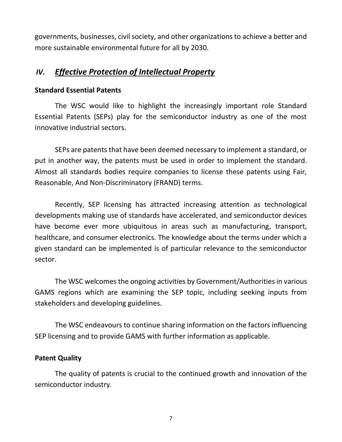governments, businesses, civil society, and other organizations to achieve a better and more sustainable environmental future for all by 2030.

## *IV. Effective Protection of Intellectual Property*

#### **Standard Essential Patents**

The WSC would like to highlight the increasingly important role Standard Essential Patents (SEPs) play for the semiconductor industry as one of the most innovative industrial sectors.

SEPs are patents that have been deemed necessary to implement a standard, or put in another way, the patents must be used in order to implement the standard. Almost all standards bodies require companies to license these patents using Fair, Reasonable, And Non-Discriminatory (FRAND) terms.

Recently, SEP licensing has attracted increasing attention as technological developments making use of standards have accelerated, and semiconductor devices have become ever more ubiquitous in areas such as manufacturing, transport, healthcare, and consumer electronics. The knowledge about the terms under which a given standard can be implemented is of particular relevance to the semiconductor sector.

The WSC welcomes the ongoing activities by Government/Authorities in various GAMS regions which are examining the SEP topic, including seeking inputs from stakeholders and developing guidelines.

The WSC endeavours to continue sharing information on the factors influencing SEP licensing and to provide GAMS with further information as applicable.

#### **Patent Quality**

The quality of patents is crucial to the continued growth and innovation of the semiconductor industry.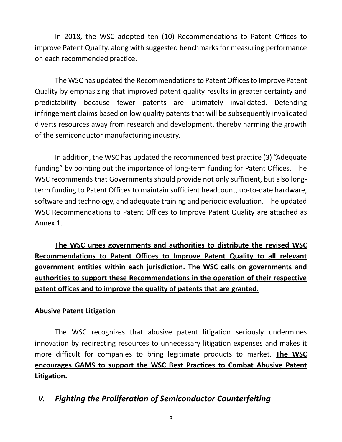In 2018, the WSC adopted ten (10) Recommendations to Patent Offices to improve Patent Quality, along with suggested benchmarks for measuring performance on each recommended practice.

The WSC has updated the Recommendations to Patent Offices to Improve Patent Quality by emphasizing that improved patent quality results in greater certainty and predictability because fewer patents are ultimately invalidated. Defending infringement claims based on low quality patents that will be subsequently invalidated diverts resources away from research and development, thereby harming the growth of the semiconductor manufacturing industry.

In addition, the WSC has updated the recommended best practice (3) "Adequate funding" by pointing out the importance of long-term funding for Patent Offices. The WSC recommends that Governments should provide not only sufficient, but also longterm funding to Patent Offices to maintain sufficient headcount, up-to-date hardware, software and technology, and adequate training and periodic evaluation. The updated WSC Recommendations to Patent Offices to Improve Patent Quality are attached as Annex 1.

**The WSC urges governments and authorities to distribute the revised WSC Recommendations to Patent Offices to Improve Patent Quality to all relevant government entities within each jurisdiction. The WSC calls on governments and authorities to support these Recommendations in the operation of their respective patent offices and to improve the quality of patents that are granted**.

#### **Abusive Patent Litigation**

The WSC recognizes that abusive patent litigation seriously undermines innovation by redirecting resources to unnecessary litigation expenses and makes it more difficult for companies to bring legitimate products to market. **The WSC encourages GAMS to support the WSC Best Practices to Combat Abusive Patent Litigation.** 

## *V. Fighting the Proliferation of Semiconductor Counterfeiting*

8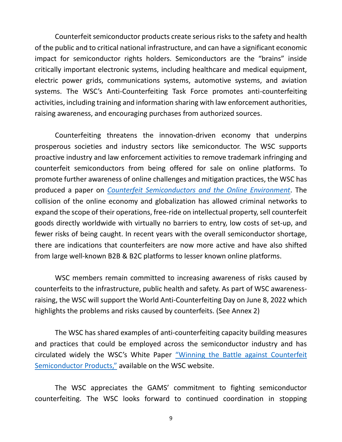Counterfeit semiconductor products create serious risks to the safety and health of the public and to critical national infrastructure, and can have a significant economic impact for semiconductor rights holders. Semiconductors are the "brains" inside critically important electronic systems, including healthcare and medical equipment, electric power grids, communications systems, automotive systems, and aviation systems. The WSC's Anti-Counterfeiting Task Force promotes anti-counterfeiting activities, including training and information sharing with law enforcement authorities, raising awareness, and encouraging purchases from authorized sources.

Counterfeiting threatens the innovation-driven economy that underpins prosperous societies and industry sectors like semiconductor. The WSC supports proactive industry and law enforcement activities to remove trademark infringing and counterfeit semiconductors from being offered for sale on online platforms. To promote further awareness of online challenges and mitigation practices, the WSC has produced a paper on *[Counterfeit Semiconductors and the Online Environment](http://www.semiconductorcouncil.org/wp-content/uploads/2021/10/ACTF_WSC-2021-Paper-on-Counterfeit-Semiconductors-and-the-Online.pdf)*. The collision of the online economy and globalization has allowed criminal networks to expand the scope of their operations, free-ride on intellectual property, sell counterfeit goods directly worldwide with virtually no barriers to entry, low costs of set-up, and fewer risks of being caught. In recent years with the overall semiconductor shortage, there are indications that counterfeiters are now more active and have also shifted from large well-known B2B & B2C platforms to lesser known online platforms.

WSC members remain committed to increasing awareness of risks caused by counterfeits to the infrastructure, public health and safety. As part of WSC awarenessraising, the WSC will support the World Anti-Counterfeiting Day on June 8, 2022 which highlights the problems and risks caused by counterfeits. (See Annex 2)

The WSC has shared examples of anti-counterfeiting capacity building measures and practices that could be employed across the semiconductor industry and has circulated widely the WSC's White Paper ["Winning the Battle against Counterfeit](http://www.semiconductorcouncil.org/wp-content/uploads/2018/06/WSC-Anti-Counterfeiting-White-Paper-May-2018-Update.pdf)  [Semiconductor Products,"](http://www.semiconductorcouncil.org/wp-content/uploads/2018/06/WSC-Anti-Counterfeiting-White-Paper-May-2018-Update.pdf) available on the WSC website.

The WSC appreciates the GAMS' commitment to fighting semiconductor counterfeiting. The WSC looks forward to continued coordination in stopping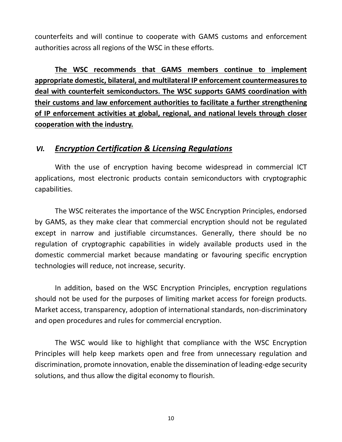counterfeits and will continue to cooperate with GAMS customs and enforcement authorities across all regions of the WSC in these efforts.

**The WSC recommends that GAMS members continue to implement appropriate domestic, bilateral, and multilateral IP enforcement countermeasures to deal with counterfeit semiconductors. The WSC supports GAMS coordination with their customs and law enforcement authorities to facilitate a further strengthening of IP enforcement activities at global, regional, and national levels through closer cooperation with the industry.** 

### *VI. Encryption Certification & Licensing Regulations*

With the use of encryption having become widespread in commercial ICT applications, most electronic products contain semiconductors with cryptographic capabilities.

The WSC reiterates the importance of the WSC Encryption Principles, endorsed by GAMS, as they make clear that commercial encryption should not be regulated except in narrow and justifiable circumstances. Generally, there should be no regulation of cryptographic capabilities in widely available products used in the domestic commercial market because mandating or favouring specific encryption technologies will reduce, not increase, security.

In addition, based on the WSC Encryption Principles, encryption regulations should not be used for the purposes of limiting market access for foreign products. Market access, transparency, adoption of international standards, non-discriminatory and open procedures and rules for commercial encryption.

The WSC would like to highlight that compliance with the WSC Encryption Principles will help keep markets open and free from unnecessary regulation and discrimination, promote innovation, enable the dissemination of leading-edge security solutions, and thus allow the digital economy to flourish.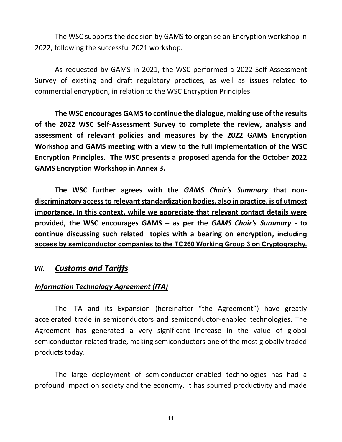The WSC supports the decision by GAMS to organise an Encryption workshop in 2022, following the successful 2021 workshop.

As requested by GAMS in 2021, the WSC performed a 2022 Self-Assessment Survey of existing and draft regulatory practices, as well as issues related to commercial encryption, in relation to the WSC Encryption Principles.

**The WSC encourages GAMS to continue the dialogue, making use of the results of the 2022 WSC Self-Assessment Survey to complete the review, analysis and assessment of relevant policies and measures by the 2022 GAMS Encryption Workshop and GAMS meeting with a view to the full implementation of the WSC Encryption Principles. The WSC presents a proposed agenda for the October 2022 GAMS Encryption Workshop in Annex 3.**

**The WSC further agrees with the** *GAMS Chair's Summary* **that nondiscriminatory access to relevant standardization bodies, also in practice, is of utmost importance. In this context, while we appreciate that relevant contact details were provided, the WSC encourages GAMS – as per the** *GAMS Chair's Summary* **- to continue discussing such related topics with a bearing on encryption, including access by semiconductor companies to the TC260 Working Group 3 on Cryptography.**

#### *VII. Customs and Tariffs*

#### *Information Technology Agreement (ITA)*

The ITA and its Expansion (hereinafter "the Agreement") have greatly accelerated trade in semiconductors and semiconductor-enabled technologies. The Agreement has generated a very significant increase in the value of global semiconductor-related trade, making semiconductors one of the most globally traded products today.

The large deployment of semiconductor-enabled technologies has had a profound impact on society and the economy. It has spurred productivity and made

11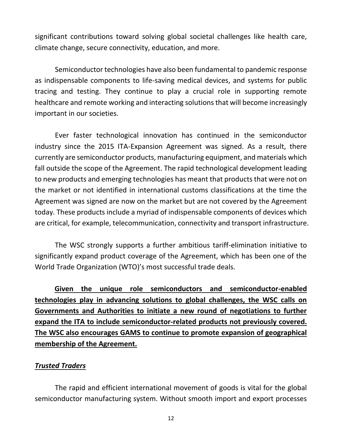significant contributions toward solving global societal challenges like health care, climate change, secure connectivity, education, and more.

Semiconductor technologies have also been fundamental to pandemic response as indispensable components to life-saving medical devices, and systems for public tracing and testing. They continue to play a crucial role in supporting remote healthcare and remote working and interacting solutions that will become increasingly important in our societies.

Ever faster technological innovation has continued in the semiconductor industry since the 2015 ITA-Expansion Agreement was signed. As a result, there currently are semiconductor products, manufacturing equipment, and materials which fall outside the scope of the Agreement. The rapid technological development leading to new products and emerging technologies has meant that products that were not on the market or not identified in international customs classifications at the time the Agreement was signed are now on the market but are not covered by the Agreement today. These products include a myriad of indispensable components of devices which are critical, for example, telecommunication, connectivity and transport infrastructure.

The WSC strongly supports a further ambitious tariff-elimination initiative to significantly expand product coverage of the Agreement, which has been one of the World Trade Organization (WTO)'s most successful trade deals.

**Given the unique role semiconductors and semiconductor-enabled technologies play in advancing solutions to global challenges, the WSC calls on Governments and Authorities to initiate a new round of negotiations to further expand the ITA to include semiconductor-related products not previously covered. The WSC also encourages GAMS to continue to promote expansion of geographical membership of the Agreement.** 

#### *Trusted Traders*

The rapid and efficient international movement of goods is vital for the global semiconductor manufacturing system. Without smooth import and export processes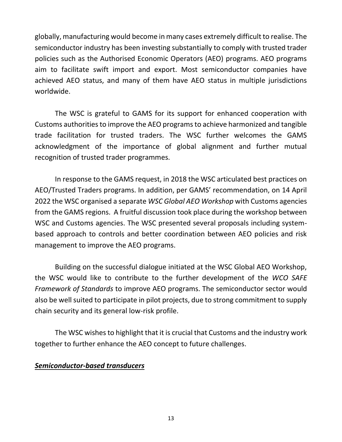globally, manufacturing would become in many cases extremely difficult to realise. The semiconductor industry has been investing substantially to comply with trusted trader policies such as the Authorised Economic Operators (AEO) programs. AEO programs aim to facilitate swift import and export. Most semiconductor companies have achieved AEO status, and many of them have AEO status in multiple jurisdictions worldwide.

The WSC is grateful to GAMS for its support for enhanced cooperation with Customs authorities to improve the AEO programs to achieve harmonized and tangible trade facilitation for trusted traders. The WSC further welcomes the GAMS acknowledgment of the importance of global alignment and further mutual recognition of trusted trader programmes.

In response to the GAMS request, in 2018 the WSC articulated best practices on AEO/Trusted Traders programs. In addition, per GAMS' recommendation, on 14 April 2022 the WSC organised a separate *WSC Global AEO Workshop* with Customs agencies from the GAMS regions. A fruitful discussion took place during the workshop between WSC and Customs agencies. The WSC presented several proposals including systembased approach to controls and better coordination between AEO policies and risk management to improve the AEO programs.

Building on the successful dialogue initiated at the WSC Global AEO Workshop, the WSC would like to contribute to the further development of the *WCO SAFE Framework of Standards* to improve AEO programs. The semiconductor sector would also be well suited to participate in pilot projects, due to strong commitment to supply chain security and its general low-risk profile.

The WSC wishes to highlight that it is crucial that Customs and the industry work together to further enhance the AEO concept to future challenges.

#### *Semiconductor-based transducers*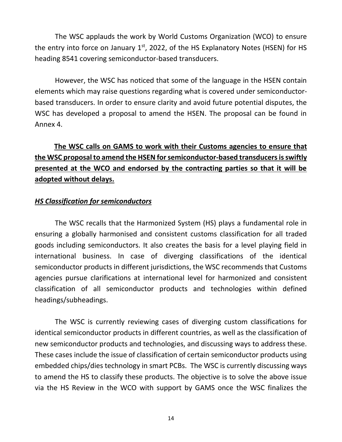The WSC applauds the work by World Customs Organization (WCO) to ensure the entry into force on January  $1<sup>st</sup>$ , 2022, of the HS Explanatory Notes (HSEN) for HS heading 8541 covering semiconductor-based transducers.

However, the WSC has noticed that some of the language in the HSEN contain elements which may raise questions regarding what is covered under semiconductorbased transducers. In order to ensure clarity and avoid future potential disputes, the WSC has developed a proposal to amend the HSEN. The proposal can be found in Annex 4.

## **The WSC calls on GAMS to work with their Customs agencies to ensure that the WSC proposal to amend the HSEN for semiconductor-based transducers is swiftly presented at the WCO and endorsed by the contracting parties so that it will be adopted without delays.**

#### *HS Classification for semiconductors*

The WSC recalls that the Harmonized System (HS) plays a fundamental role in ensuring a globally harmonised and consistent customs classification for all traded goods including semiconductors. It also creates the basis for a level playing field in international business. In case of diverging classifications of the identical semiconductor products in different jurisdictions, the WSC recommends that Customs agencies pursue clarifications at international level for harmonized and consistent classification of all semiconductor products and technologies within defined headings/subheadings.

The WSC is currently reviewing cases of diverging custom classifications for identical semiconductor products in different countries, as well as the classification of new semiconductor products and technologies, and discussing ways to address these. These cases include the issue of classification of certain semiconductor products using embedded chips/dies technology in smart PCBs. The WSC is currently discussing ways to amend the HS to classify these products. The objective is to solve the above issue via the HS Review in the WCO with support by GAMS once the WSC finalizes the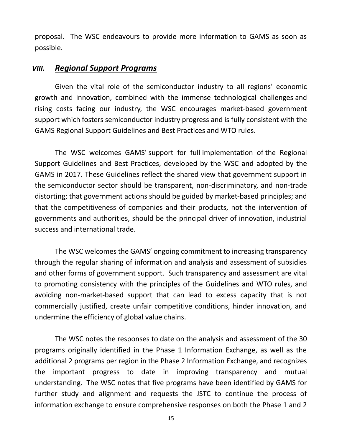proposal. The WSC endeavours to provide more information to GAMS as soon as possible.

#### *VIII. Regional Support Programs*

Given the vital role of the semiconductor industry to all regions' economic growth and innovation, combined with the immense technological challenges and rising costs facing our industry, the WSC encourages market-based government support which fosters semiconductor industry progress and is fully consistent with the GAMS Regional Support Guidelines and Best Practices and WTO rules.

The WSC welcomes GAMS' support for full implementation of the Regional Support Guidelines and Best Practices, developed by the WSC and adopted by the GAMS in 2017. These Guidelines reflect the shared view that government support in the semiconductor sector should be transparent, non-discriminatory, and non-trade distorting; that government actions should be guided by market-based principles; and that the competitiveness of companies and their products, not the intervention of governments and authorities, should be the principal driver of innovation, industrial success and international trade.

The WSC welcomes the GAMS' ongoing commitment to increasing transparency through the regular sharing of information and analysis and assessment of subsidies and other forms of government support. Such transparency and assessment are vital to promoting consistency with the principles of the Guidelines and WTO rules, and avoiding non-market-based support that can lead to excess capacity that is not commercially justified, create unfair competitive conditions, hinder innovation, and undermine the efficiency of global value chains.

The WSC notes the responses to date on the analysis and assessment of the 30 programs originally identified in the Phase 1 Information Exchange, as well as the additional 2 programs per region in the Phase 2 Information Exchange, and recognizes the important progress to date in improving transparency and mutual understanding. The WSC notes that five programs have been identified by GAMS for further study and alignment and requests the JSTC to continue the process of information exchange to ensure comprehensive responses on both the Phase 1 and 2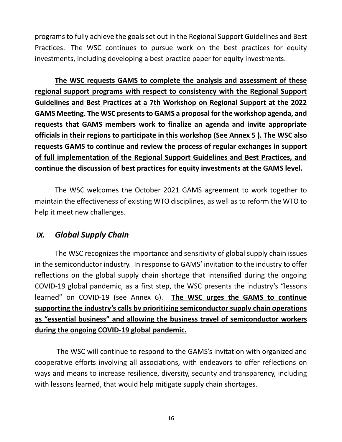programs to fully achieve the goals set out in the Regional Support Guidelines and Best Practices. The WSC continues to pursue work on the best practices for equity investments, including developing a best practice paper for equity investments.

**The WSC requests GAMS to complete the analysis and assessment of these regional support programs with respect to consistency with the Regional Support Guidelines and Best Practices at a 7th Workshop on Regional Support at the 2022 GAMS Meeting. The WSC presents to GAMS a proposal for the workshop agenda, and requests that GAMS members work to finalize an agenda and invite appropriate officials in their regions to participate in this workshop (See Annex 5 ). The WSC also requests GAMS to continue and review the process of regular exchanges in support of full implementation of the Regional Support Guidelines and Best Practices, and continue the discussion of best practices for equity investments at the GAMS level.**

The WSC welcomes the October 2021 GAMS agreement to work together to maintain the effectiveness of existing WTO disciplines, as well as to reform the WTO to help it meet new challenges.

### *IX. Global Supply Chain*

The WSC recognizes the importance and sensitivity of global supply chain issues in the semiconductor industry. In response to GAMS' invitation to the industry to offer reflections on the global supply chain shortage that intensified during the ongoing COVID-19 global pandemic, as a first step, the WSC presents the industry's "lessons learned" on COVID-19 (see Annex 6). **The WSC urges the GAMS to continue supporting the industry's calls by prioritizing semiconductor supply chain operations as "essential business" and allowing the business travel of semiconductor workers during the ongoing COVID-19 global pandemic.**

The WSC will continue to respond to the GAMS's invitation with organized and cooperative efforts involving all associations, with endeavors to offer reflections on ways and means to increase resilience, diversity, security and transparency, including with lessons learned, that would help mitigate supply chain shortages.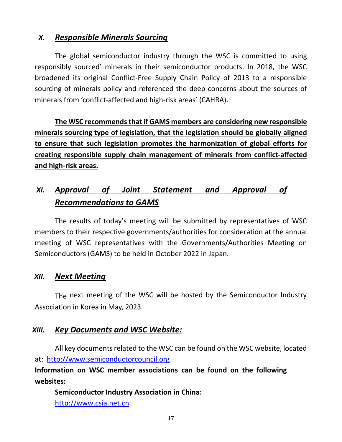## *X. Responsible Minerals Sourcing*

The global semiconductor industry through the WSC is committed to using responsibly sourced' minerals in their semiconductor products. In 2018, the WSC broadened its original Conflict-Free Supply Chain Policy of 2013 to a responsible sourcing of minerals policy and referenced the deep concerns about the sources of minerals from 'conflict-affected and high-risk areas' (CAHRA).

**The WSC recommends that if GAMS members are considering new responsible minerals sourcing type of legislation, that the legislation should be globally aligned to ensure that such legislation promotes the harmonization of global efforts for creating responsible supply chain management of minerals from conflict-affected and high-risk areas.** 

## *XI. Approval of Joint Statement and Approval of Recommendations to GAMS*

The results of today's meeting will be submitted by representatives of WSC members to their respective governments/authorities for consideration at the annual meeting of WSC representatives with the Governments/Authorities Meeting on Semiconductors (GAMS) to be held in October 2022 in Japan.

### *XII. Next Meeting*

The next meeting of the WSC will be hosted by the Semiconductor Industry Association in Korea in May, 2023.

### *XIII. Key Documents and WSC Website:*

All key documents related to the WSC can be found on the WSC website, located at: [http://www.semiconductorcouncil.org](http://www.semiconductorcouncil.org/)

**Information on WSC member associations can be found on the following websites:**

**Semiconductor Industry Association in China:** [http://www.csia.net.cn](http://www.csia.net.cn/)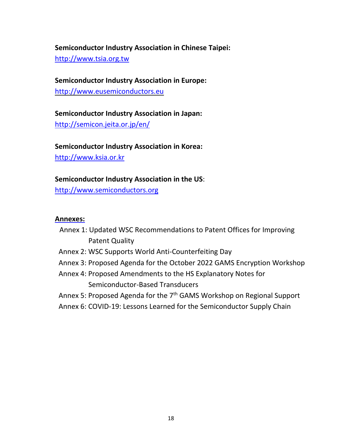#### **Semiconductor Industry Association in Chinese Taipei:**

[http://www.tsia.org.tw](http://www.tsia.org.tw/)

# **Semiconductor Industry Association in Europe:**

[http://www.eusemiconductors.eu](http://www.eusemiconductors.eu/)

## **Semiconductor Industry Association in Japan:** <http://semicon.jeita.or.jp/en/>

## **Semiconductor Industry Association in Korea:**

[http://www.ksia.or.kr](http://www.ksia.or.kr/)

#### **Semiconductor Industry Association in the US**:

[http://www.semiconductors.org](http://www.semiconductors.org/)

#### **Annexes:**

- Annex 1: Updated WSC Recommendations to Patent Offices for Improving Patent Quality
- Annex 2: WSC Supports World Anti-Counterfeiting Day
- Annex 3: Proposed Agenda for the October 2022 GAMS Encryption Workshop
- Annex 4: Proposed Amendments to the HS Explanatory Notes for Semiconductor-Based Transducers
- Annex 5: Proposed Agenda for the 7<sup>th</sup> GAMS Workshop on Regional Support
- Annex 6: COVID-19: Lessons Learned for the Semiconductor Supply Chain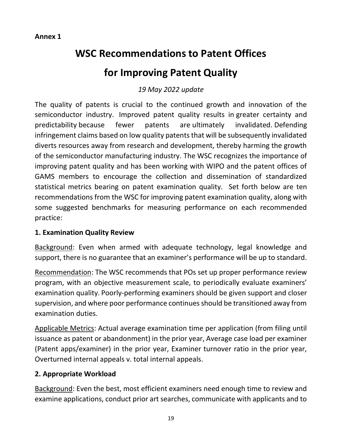#### **Annex 1**

## **WSC Recommendations to Patent Offices**

## **for Improving Patent Quality**

## *19 May 2022 update*

The quality of patents is crucial to the continued growth and innovation of the semiconductor industry. Improved patent quality results in greater certainty and predictability because fewer patents are ultimately invalidated. Defending infringement claims based on low quality patents that will be subsequently invalidated diverts resources away from research and development, thereby harming the growth of the semiconductor manufacturing industry. The WSC recognizes the importance of improving patent quality and has been working with WIPO and the patent offices of GAMS members to encourage the collection and dissemination of standardized statistical metrics bearing on patent examination quality. Set forth below are ten recommendations from the WSC for improving patent examination quality, along with some suggested benchmarks for measuring performance on each recommended practice:

#### **1. Examination Quality Review**

Background: Even when armed with adequate technology, legal knowledge and support, there is no guarantee that an examiner's performance will be up to standard.

Recommendation: The WSC recommends that POs set up proper performance review program, with an objective measurement scale, to periodically evaluate examiners' examination quality. Poorly-performing examiners should be given support and closer supervision, and where poor performance continues should be transitioned away from examination duties.

Applicable Metrics: Actual average examination time per application (from filing until issuance as patent or abandonment) in the prior year, Average case load per examiner (Patent apps/examiner) in the prior year, Examiner turnover ratio in the prior year, Overturned internal appeals v. total internal appeals.

#### **2. Appropriate Workload**

Background: Even the best, most efficient examiners need enough time to review and examine applications, conduct prior art searches, communicate with applicants and to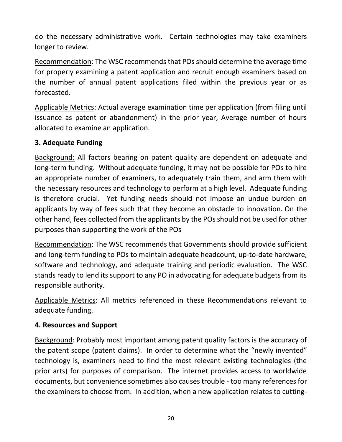do the necessary administrative work. Certain technologies may take examiners longer to review.

Recommendation: The WSC recommends that POs should determine the average time for properly examining a patent application and recruit enough examiners based on the number of annual patent applications filed within the previous year or as forecasted.

Applicable Metrics: Actual average examination time per application (from filing until issuance as patent or abandonment) in the prior year, Average number of hours allocated to examine an application.

#### **3. Adequate Funding**

Background: All factors bearing on patent quality are dependent on adequate and long-term funding. Without adequate funding, it may not be possible for POs to hire an appropriate number of examiners, to adequately train them, and arm them with the necessary resources and technology to perform at a high level. Adequate funding is therefore crucial. Yet funding needs should not impose an undue burden on applicants by way of fees such that they become an obstacle to innovation. On the other hand, fees collected from the applicants by the POs should not be used for other purposes than supporting the work of the POs

Recommendation: The WSC recommends that Governments should provide sufficient and long-term funding to POs to maintain adequate headcount, up-to-date hardware, software and technology, and adequate training and periodic evaluation. The WSC stands ready to lend its support to any PO in advocating for adequate budgets from its responsible authority.

Applicable Metrics: All metrics referenced in these Recommendations relevant to adequate funding.

#### **4. Resources and Support**

Background: Probably most important among patent quality factors is the accuracy of the patent scope (patent claims). In order to determine what the "newly invented" technology is, examiners need to find the most relevant existing technologies (the prior arts) for purposes of comparison. The internet provides access to worldwide documents, but convenience sometimes also causes trouble - too many references for the examiners to choose from. In addition, when a new application relates to cutting-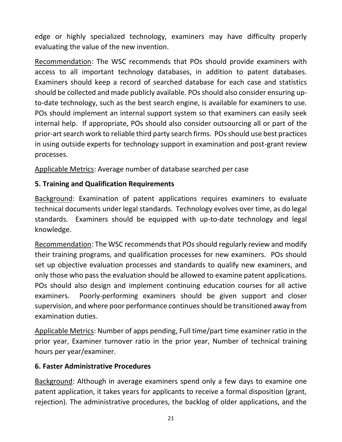edge or highly specialized technology, examiners may have difficulty properly evaluating the value of the new invention.

Recommendation: The WSC recommends that POs should provide examiners with access to all important technology databases, in addition to patent databases. Examiners should keep a record of searched database for each case and statistics should be collected and made publicly available. POs should also consider ensuring upto-date technology, such as the best search engine, is available for examiners to use. POs should implement an internal support system so that examiners can easily seek internal help. If appropriate, POs should also consider outsourcing all or part of the prior-art search work to reliable third party search firms. POs should use best practices in using outside experts for technology support in examination and post-grant review processes.

Applicable Metrics: Average number of database searched per case

#### **5. Training and Qualification Requirements**

Background: Examination of patent applications requires examiners to evaluate technical documents under legal standards. Technology evolves over time, as do legal standards. Examiners should be equipped with up-to-date technology and legal knowledge.

Recommendation: The WSC recommends that POs should regularly review and modify their training programs, and qualification processes for new examiners. POs should set up objective evaluation processes and standards to qualify new examiners, and only those who pass the evaluation should be allowed to examine patent applications. POs should also design and implement continuing education courses for all active examiners. Poorly-performing examiners should be given support and closer supervision, and where poor performance continues should be transitioned away from examination duties.

Applicable Metrics: Number of apps pending, Full time/part time examiner ratio in the prior year, Examiner turnover ratio in the prior year, Number of technical training hours per year/examiner.

#### **6. Faster Administrative Procedures**

Background: Although in average examiners spend only a few days to examine one patent application, it takes years for applicants to receive a formal disposition (grant, rejection). The administrative procedures, the backlog of older applications, and the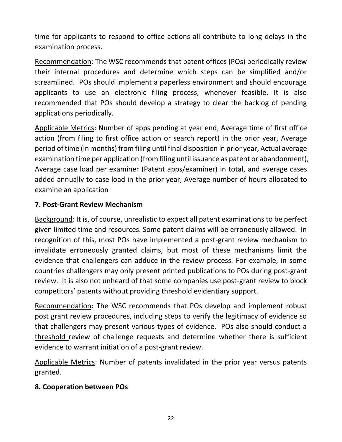time for applicants to respond to office actions all contribute to long delays in the examination process.

Recommendation: The WSC recommends that patent offices (POs) periodically review their internal procedures and determine which steps can be simplified and/or streamlined. POs should implement a paperless environment and should encourage applicants to use an electronic filing process, whenever feasible. It is also recommended that POs should develop a strategy to clear the backlog of pending applications periodically.

Applicable Metrics: Number of apps pending at year end, Average time of first office action (from filing to first office action or search report) in the prior year, Average period of time (in months) from filing until final disposition in prior year, Actual average examination time per application (from filing until issuance as patent or abandonment), Average case load per examiner (Patent apps/examiner) in total, and average cases added annually to case load in the prior year, Average number of hours allocated to examine an application

#### **7. Post-Grant Review Mechanism**

Background: It is, of course, unrealistic to expect all patent examinations to be perfect given limited time and resources. Some patent claims will be erroneously allowed. In recognition of this, most POs have implemented a post-grant review mechanism to invalidate erroneously granted claims, but most of these mechanisms limit the evidence that challengers can adduce in the review process. For example, in some countries challengers may only present printed publications to POs during post-grant review. It is also not unheard of that some companies use post-grant review to block competitors' patents without providing threshold evidentiary support.

Recommendation: The WSC recommends that POs develop and implement robust post grant review procedures, including steps to verify the legitimacy of evidence so that challengers may present various types of evidence. POs also should conduct a threshold review of challenge requests and determine whether there is sufficient evidence to warrant initiation of a post-grant review.

Applicable Metrics: Number of patents invalidated in the prior year versus patents granted.

#### **8. Cooperation between POs**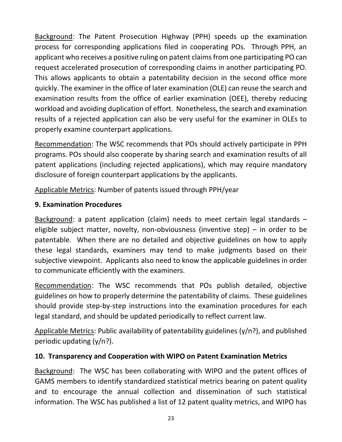Background: The Patent Prosecution Highway (PPH) speeds up the examination process for corresponding applications filed in cooperating POs. Through PPH, an applicant who receives a positive ruling on patent claims from one participating PO can request accelerated prosecution of corresponding claims in another participating PO. This allows applicants to obtain a patentability decision in the second office more quickly. The examiner in the office of later examination (OLE) can reuse the search and examination results from the office of earlier examination (OEE), thereby reducing workload and avoiding duplication of effort. Nonetheless, the search and examination results of a rejected application can also be very useful for the examiner in OLEs to properly examine counterpart applications.

Recommendation: The WSC recommends that POs should actively participate in PPH programs. POs should also cooperate by sharing search and examination results of all patent applications (including rejected applications), which may require mandatory disclosure of foreign counterpart applications by the applicants.

Applicable Metrics: Number of patents issued through PPH/year

## **9. Examination Procedures**

Background: a patent application (claim) needs to meet certain legal standards – eligible subject matter, novelty, non-obviousness (inventive step) – in order to be patentable. When there are no detailed and objective guidelines on how to apply these legal standards, examiners may tend to make judgments based on their subjective viewpoint. Applicants also need to know the applicable guidelines in order to communicate efficiently with the examiners.

Recommendation: The WSC recommends that POs publish detailed, objective guidelines on how to properly determine the patentability of claims. These guidelines should provide step-by-step instructions into the examination procedures for each legal standard, and should be updated periodically to reflect current law.

Applicable Metrics: Public availability of patentability guidelines (y/n?), and published periodic updating (y/n?).

## **10. Transparency and Cooperation with WIPO on Patent Examination Metrics**

Background: The WSC has been collaborating with WIPO and the patent offices of GAMS members to identify standardized statistical metrics bearing on patent quality and to encourage the annual collection and dissemination of such statistical information. The WSC has published a list of 12 patent quality metrics, and WIPO has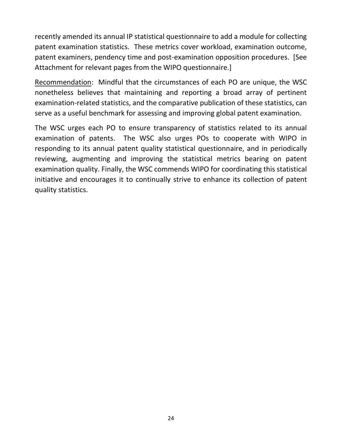recently amended its annual IP statistical questionnaire to add a module for collecting patent examination statistics. These metrics cover workload, examination outcome, patent examiners, pendency time and post-examination opposition procedures. [See Attachment for relevant pages from the WIPO questionnaire.]

Recommendation: Mindful that the circumstances of each PO are unique, the WSC nonetheless believes that maintaining and reporting a broad array of pertinent examination-related statistics, and the comparative publication of these statistics, can serve as a useful benchmark for assessing and improving global patent examination.

The WSC urges each PO to ensure transparency of statistics related to its annual examination of patents. The WSC also urges POs to cooperate with WIPO in responding to its annual patent quality statistical questionnaire, and in periodically reviewing, augmenting and improving the statistical metrics bearing on patent examination quality. Finally, the WSC commends WIPO for coordinating this statistical initiative and encourages it to continually strive to enhance its collection of patent quality statistics.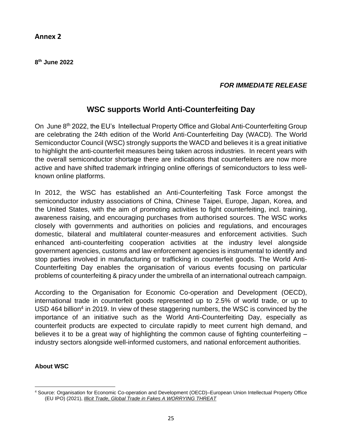**8 th June 2022**

#### *FOR IMMEDIATE RELEASE*

### **WSC supports World Anti-Counterfeiting Day**

On June 8<sup>th</sup> 2022, the EU's Intellectual Property Office and Global Anti-Counterfeiting Group are celebrating the 24th edition of the World Anti-Counterfeiting Day (WACD). The World Semiconductor Council (WSC) strongly supports the WACD and believes it is a great initiative to highlight the anti-counterfeit measures being taken across industries. In recent years with the overall semiconductor shortage there are indications that counterfeiters are now more active and have shifted trademark infringing online offerings of semiconductors to less wellknown online platforms.

In 2012, the WSC has established an Anti-Counterfeiting Task Force amongst the semiconductor industry associations of China, Chinese Taipei, Europe, Japan, Korea, and the United States, with the aim of promoting activities to fight counterfeiting, incl. training, awareness raising, and encouraging purchases from authorised sources. The WSC works closely with governments and authorities on policies and regulations, and encourages domestic, bilateral and multilateral counter-measures and enforcement activities. Such enhanced anti-counterfeiting cooperation activities at the industry level alongside government agencies, customs and law enforcement agencies is instrumental to identify and stop parties involved in manufacturing or trafficking in counterfeit goods. The World Anti-Counterfeiting Day enables the organisation of various events focusing on particular problems of counterfeiting & piracy under the umbrella of an international outreach campaign.

According to the Organisation for Economic Co-operation and Development (OECD), international trade in counterfeit goods represented up to 2.5% of world trade, or up to USD 464 billion<sup>4</sup> in 2019. In view of these staggering numbers, the WSC is convinced by the importance of an initiative such as the World Anti-Counterfeiting Day, especially as counterfeit products are expected to circulate rapidly to meet current high demand, and believes it to be a great way of highlighting the common cause of fighting counterfeiting – industry sectors alongside well-informed customers, and national enforcement authorities.

#### **About WSC**

<sup>4</sup> Source: Organisation for Economic Co-operation and Development (OECD)–European Union Intellectual Property Office (EU IPO) (2021), *Illicit Trade, Global Trade in Fakes A [WORRYING](https://euipo.europa.eu/tunnel-web/secure/webdav/guest/document_library/observatory/documents/reports/2021_EUIPO_OECD_Report_Fakes/2021_EUIPO_OECD_Trate_Fakes_Study_FullR_en.pdf) THREAT*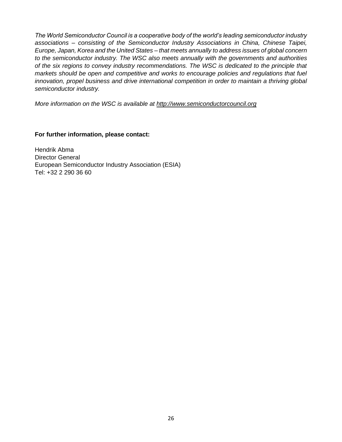*The World Semiconductor Council is a cooperative body of the world's leading semiconductor industry associations – consisting of the Semiconductor Industry Associations in China, Chinese Taipei, Europe, Japan, Korea and the United States – that meets annually to address issues of global concern to the semiconductor industry. The WSC also meets annually with the governments and authorities of the six regions to convey industry recommendations. The WSC is dedicated to the principle that markets should be open and competitive and works to encourage policies and regulations that fuel innovation, propel business and drive international competition in order to maintain a thriving global semiconductor industry.*

*More information on the WSC is available at [http://www.semiconductorcouncil.org](http://www.semiconductorcouncil.org/)*

**For further information, please contact:**

Hendrik Abma Director General European Semiconductor Industry Association (ESIA) Tel: +32 2 290 36 60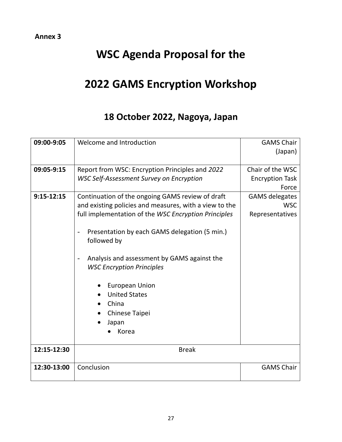#### **Annex 3**

# **WSC Agenda Proposal for the**

# **2022 GAMS Encryption Workshop**

## **18 October 2022, Nagoya, Japan**

| 09:00-9:05   | Welcome and Introduction                                                        | <b>GAMS Chair</b>      |
|--------------|---------------------------------------------------------------------------------|------------------------|
|              |                                                                                 | (Japan)                |
|              |                                                                                 |                        |
| 09:05-9:15   | Report from WSC: Encryption Principles and 2022                                 | Chair of the WSC       |
|              | <b>WSC Self-Assessment Survey on Encryption</b>                                 | <b>Encryption Task</b> |
|              |                                                                                 | Force                  |
| $9:15-12:15$ | Continuation of the ongoing GAMS review of draft                                | <b>GAMS</b> delegates  |
|              | and existing policies and measures, with a view to the                          | <b>WSC</b>             |
|              | full implementation of the WSC Encryption Principles                            | Representatives        |
|              | Presentation by each GAMS delegation (5 min.)<br>followed by                    |                        |
|              | Analysis and assessment by GAMS against the<br><b>WSC Encryption Principles</b> |                        |
|              | <b>European Union</b>                                                           |                        |
|              | <b>United States</b>                                                            |                        |
|              | China                                                                           |                        |
|              | Chinese Taipei                                                                  |                        |
|              | Japan                                                                           |                        |
|              | Korea                                                                           |                        |
|              |                                                                                 |                        |
| 12:15-12:30  | <b>Break</b>                                                                    |                        |
| 12:30-13:00  | Conclusion                                                                      | <b>GAMS Chair</b>      |
|              |                                                                                 |                        |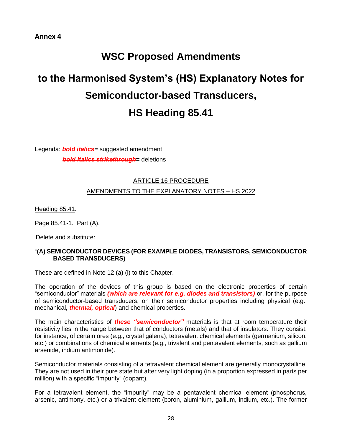#### **Annex 4**

## **WSC Proposed Amendments**

# **to the Harmonised System's (HS) Explanatory Notes for Semiconductor-based Transducers, HS Heading 85.41**

Legenda: *bold italics=* suggested amendment *bold italics strikethrough=* deletions

#### ARTICLE 16 PROCEDURE

#### AMENDMENTS TO THE EXPLANATORY NOTES - HS 2022

Heading 85.41.

Page 85.41-1. Part (A).

Delete and substitute:

#### "**(A) SEMICONDUCTOR DEVICES (FOR EXAMPLE DIODES, TRANSISTORS, SEMICONDUCTOR BASED TRANSDUCERS)**

These are defined in Note 12 (a) (i) to this Chapter.

The operation of the devices of this group is based on the electronic properties of certain "semiconductor" materials *(which are relevant for e.g. diodes and transistors)* or, for the purpose of semiconductor-based transducers, on their semiconductor properties including physical (e.g., mechanical*, thermal, optical*) and chemical properties.

The main characteristics of *these "semiconductor"* materials is that at room temperature their resistivity lies in the range between that of conductors (metals) and that of insulators. They consist, for instance, of certain ores (e.g., crystal galena), tetravalent chemical elements (germanium, silicon, etc.) or combinations of chemical elements (e.g., trivalent and pentavalent elements, such as gallium arsenide, indium antimonide).

Semiconductor materials consisting of a tetravalent chemical element are generally monocrystalline. They are not used in their pure state but after very light doping (in a proportion expressed in parts per million) with a specific "impurity" (dopant).

For a tetravalent element, the "impurity" may be a pentavalent chemical element (phosphorus, arsenic, antimony, etc.) or a trivalent element (boron, aluminium, gallium, indium, etc.). The former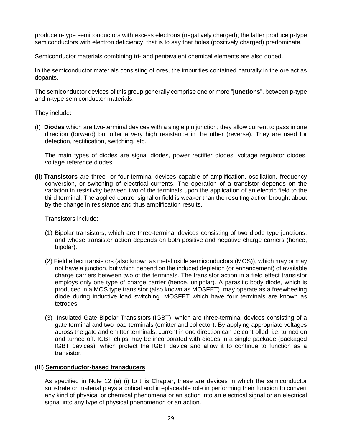produce n-type semiconductors with excess electrons (negatively charged); the latter produce p-type semiconductors with electron deficiency, that is to say that holes (positively charged) predominate.

Semiconductor materials combining tri- and pentavalent chemical elements are also doped.

In the semiconductor materials consisting of ores, the impurities contained naturally in the ore act as dopants.

The semiconductor devices of this group generally comprise one or more "**junctions**", between p-type and n-type semiconductor materials.

They include:

(I) **Diodes** which are two-terminal devices with a single p n junction; they allow current to pass in one direction (forward) but offer a very high resistance in the other (reverse). They are used for detection, rectification, switching, etc.

The main types of diodes are signal diodes, power rectifier diodes, voltage regulator diodes, voltage reference diodes.

(II) **Transistors** are three- or four-terminal devices capable of amplification, oscillation, frequency conversion, or switching of electrical currents. The operation of a transistor depends on the variation in resistivity between two of the terminals upon the application of an electric field to the third terminal. The applied control signal or field is weaker than the resulting action brought about by the change in resistance and thus amplification results.

Transistors include:

- (1) Bipolar transistors, which are three-terminal devices consisting of two diode type junctions, and whose transistor action depends on both positive and negative charge carriers (hence, bipolar).
- (2) Field effect transistors (also known as metal oxide semiconductors (MOS)), which may or may not have a junction, but which depend on the induced depletion (or enhancement) of available charge carriers between two of the terminals. The transistor action in a field effect transistor employs only one type of charge carrier (hence, unipolar). A parasitic body diode, which is produced in a MOS type transistor (also known as MOSFET), may operate as a freewheeling diode during inductive load switching. MOSFET which have four terminals are known as tetrodes.
- (3) Insulated Gate Bipolar Transistors (IGBT), which are three-terminal devices consisting of a gate terminal and two load terminals (emitter and collector). By applying appropriate voltages across the gate and emitter terminals, current in one direction can be controlled, i.e. turned on and turned off. IGBT chips may be incorporated with diodes in a single package (packaged IGBT devices), which protect the IGBT device and allow it to continue to function as a transistor.

#### (III) **Semiconductor-based transducers**

As specified in Note 12 (a) (i) to this Chapter, these are devices in which the semiconductor substrate or material plays a critical and irreplaceable role in performing their function to convert any kind of physical or chemical phenomena or an action into an electrical signal or an electrical signal into any type of physical phenomenon or an action.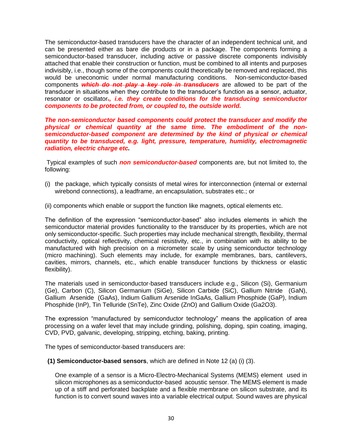The semiconductor-based transducers have the character of an independent technical unit, and can be presented either as bare die products or in a package. The components forming a semiconductor-based transducer, including active or passive discrete components indivisibly attached that enable their construction or function, must be combined to all intents and purposes indivisibly, i.e., though some of the components could theoretically be removed and replaced, this would be uneconomic under normal manufacturing conditions. Non-semiconductor-based components *which do not play a key role in transducers* are allowed to be part of the transducer in situations when they contribute to the transducer's function as a sensor, actuator, resonator or oscillator*., i.e. they create conditions for the transducing semiconductor components to be protected from, or coupled to, the outside world.*

*The non-semiconductor based components could protect the transducer and modify the physical or chemical quantity at the same time. The embodiment of the nonsemiconductor-based component are determined by the kind of physical or chemical quantity to be transduced, e.g. light, pressure, temperature, humidity, electromagnetic radiation, electric charge etc.* 

Typical examples of such *non semiconductor-based* components are, but not limited to, the following:

- (i) the package, which typically consists of metal wires for interconnection (internal or external wirebond connections), a leadframe, an encapsulation, substrates etc.; or
- (ii) components which enable or support the function like magnets, optical elements etc.

The definition of the expression "semiconductor-based" also includes elements in which the semiconductor material provides functionality to the transducer by its properties, which are not only semiconductor-specific. Such properties may include mechanical strength, flexibility, thermal conductivity, optical reflectivity, chemical resistivity, etc., in combination with its ability to be manufactured with high precision on a micrometer scale by using semiconductor technology (micro machining). Such elements may include, for example membranes, bars, cantilevers, cavities, mirrors, channels, etc., which enable transducer functions by thickness or elastic flexibility).

The materials used in semiconductor-based transducers include e.g., Silicon (Si), Germanium (Ge), Carbon (C), Silicon Germanium (SiGe), Silicon Carbide (SiC), Gallium Nitride (GaN), Gallium Arsenide (GaAs), Indium Gallium Arsenide InGaAs, Gallium Phosphide (GaP), Indium Phosphide (InP), Tin Telluride (SnTe), Zinc Oxide (ZnO) and Gallium Oxide (Ga2O3).

The expression "manufactured by semiconductor technology" means the application of area processing on a wafer level that may include grinding, polishing, doping, spin coating, imaging, CVD, PVD, galvanic, developing, stripping, etching, baking, printing.

The types of semiconductor-based transducers are:

#### **(1) Semiconductor-based sensors**, which are defined in Note 12 (a) (i) (3).

One example of a sensor is a Micro-Electro-Mechanical Systems (MEMS) element used in silicon microphones as a semiconductor-based acoustic sensor. The MEMS element is made up of a stiff and perforated backplate and a flexible membrane on silicon substrate, and its function is to convert sound waves into a variable electrical output. Sound waves are physical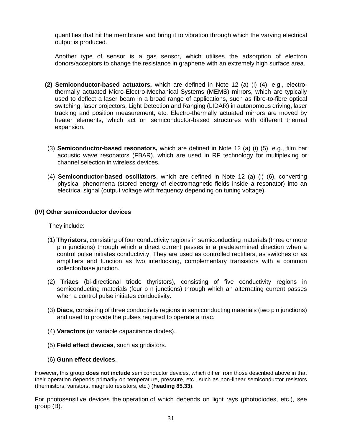quantities that hit the membrane and bring it to vibration through which the varying electrical output is produced.

Another type of sensor is a gas sensor, which utilises the adsorption of electron donors/acceptors to change the resistance in graphene with an extremely high surface area.

- **(2) Semiconductor-based actuators,** which are defined in Note 12 (a) (i) (4), e.g., electrothermally actuated Micro-Electro-Mechanical Systems (MEMS) mirrors, which are typically used to deflect a laser beam in a broad range of applications, such as fibre-to-fibre optical switching, laser projectors, Light Detection and Ranging (LIDAR) in autonomous driving, laser tracking and position measurement, etc. Electro-thermally actuated mirrors are moved by heater elements, which act on semiconductor-based structures with different thermal expansion.
- (3) **Semiconductor-based resonators,** which are defined in Note 12 (a) (i) (5), e.g., film bar acoustic wave resonators (FBAR), which are used in RF technology for multiplexing or channel selection in wireless devices.
- (4) **Semiconductor-based oscillators**, which are defined in Note 12 (a) (i) (6), converting physical phenomena (stored energy of electromagnetic fields inside a resonator) into an electrical signal (output voltage with frequency depending on tuning voltage).

#### **(IV) Other semiconductor devices**

They include:

- (1) **Thyristors**, consisting of four conductivity regions in semiconducting materials (three or more p n junctions) through which a direct current passes in a predetermined direction when a control pulse initiates conductivity. They are used as controlled rectifiers, as switches or as amplifiers and function as two interlocking, complementary transistors with a common collector/base junction.
- (2) **Triacs** (bi-directional triode thyristors), consisting of five conductivity regions in semiconducting materials (four p n junctions) through which an alternating current passes when a control pulse initiates conductivity.
- (3) **Diacs**, consisting of three conductivity regions in semiconducting materials (two p n junctions) and used to provide the pulses required to operate a triac.
- (4) **Varactors** (or variable capacitance diodes).
- (5) **Field effect devices**, such as gridistors.
- (6) **Gunn effect devices**.

However, this group **does not include** semiconductor devices, which differ from those described above in that their operation depends primarily on temperature, pressure, etc., such as non-linear semiconductor resistors (thermistors, varistors, magneto resistors, etc.) (**heading 85.33**).

For photosensitive devices the operation of which depends on light rays (photodiodes, etc.), see group (B).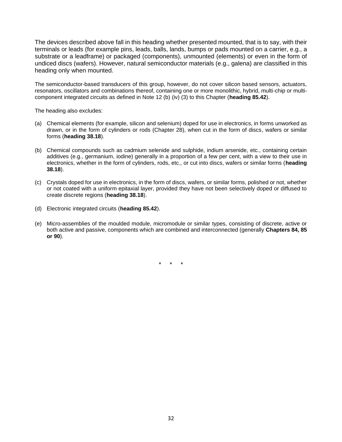The devices described above fall in this heading whether presented mounted, that is to say, with their terminals or leads (for example pins, leads, balls, lands, bumps or pads mounted on a carrier, e.g., a substrate or a leadframe) or packaged (components), unmounted (elements) or even in the form of undiced discs (wafers). However, natural semiconductor materials (e.g., galena) are classified in this heading only when mounted.

The semiconductor-based transducers of this group, however, do not cover silicon based sensors, actuators, resonators, oscillators and combinations thereof, containing one or more monolithic, hybrid, multi-chip or multicomponent integrated circuits as defined in Note 12 (b) (iv) (3) to this Chapter (**heading 85.42**).

The heading also excludes:

- (a) Chemical elements (for example, silicon and selenium) doped for use in electronics, in forms unworked as drawn, or in the form of cylinders or rods (Chapter 28), when cut in the form of discs, wafers or similar forms (**heading 38.18**).
- (b) Chemical compounds such as cadmium selenide and sulphide, indium arsenide, etc., containing certain additives (e.g., germanium, iodine) generally in a proportion of a few per cent, with a view to their use in electronics, whether in the form of cylinders, rods, etc., or cut into discs, wafers or similar forms (**heading 38.18**).
- (c) Crystals doped for use in electronics, in the form of discs, wafers, or similar forms, polished or not, whether or not coated with a uniform epitaxial layer, provided they have not been selectively doped or diffused to create discrete regions (**heading 38.18**).
- (d) Electronic integrated circuits (**heading 85.42**).
- (e) Micro-assemblies of the moulded module, micromodule or similar types, consisting of discrete, active or both active and passive, components which are combined and interconnected (generally **Chapters 84, 85 or 90**).

\* \* \*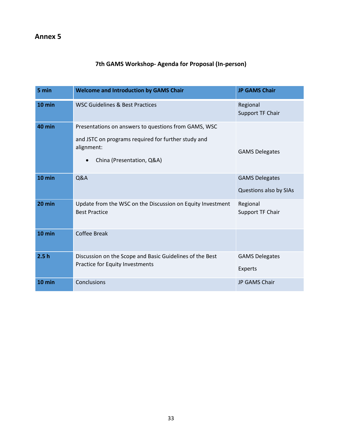### **7th GAMS Workshop- Agenda for Proposal (In-person)**

| 5 min  | <b>Welcome and Introduction by GAMS Chair</b>                                                                                                                       | <b>JP GAMS Chair</b>                            |
|--------|---------------------------------------------------------------------------------------------------------------------------------------------------------------------|-------------------------------------------------|
| 10 min | <b>WSC Guidelines &amp; Best Practices</b>                                                                                                                          | Regional<br>Support TF Chair                    |
| 40 min | Presentations on answers to questions from GAMS, WSC<br>and JSTC on programs required for further study and<br>alignment:<br>China (Presentation, Q&A)<br>$\bullet$ | <b>GAMS Delegates</b>                           |
| 10 min | Q&A                                                                                                                                                                 | <b>GAMS Delegates</b><br>Questions also by SIAs |
| 20 min | Update from the WSC on the Discussion on Equity Investment<br><b>Best Practice</b>                                                                                  | Regional<br>Support TF Chair                    |
| 10 min | <b>Coffee Break</b>                                                                                                                                                 |                                                 |
| 2.5h   | Discussion on the Scope and Basic Guidelines of the Best<br>Practice for Equity Investments                                                                         | <b>GAMS Delegates</b><br><b>Experts</b>         |
| 10 min | Conclusions                                                                                                                                                         | JP GAMS Chair                                   |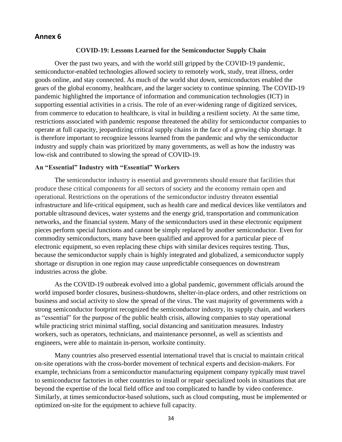#### **Annex 6**

#### **COVID-19: Lessons Learned for the Semiconductor Supply Chain**

Over the past two years, and with the world still gripped by the COVID-19 pandemic, semiconductor-enabled technologies allowed society to remotely work, study, treat illness, order goods online, and stay connected. As much of the world shut down, semiconductors enabled the gears of the global economy, healthcare, and the larger society to continue spinning. The COVID-19 pandemic highlighted the importance of information and communication technologies (ICT) in supporting essential activities in a crisis. The role of an ever-widening range of digitized services, from commerce to education to healthcare, is vital in building a resilient society. At the same time, restrictions associated with pandemic response threatened the ability for semiconductor companies to operate at full capacity, jeopardizing critical supply chains in the face of a growing chip shortage. It is therefore important to recognize lessons learned from the pandemic and why the semiconductor industry and supply chain was prioritized by many governments, as well as how the industry was low-risk and contributed to slowing the spread of COVID-19.

#### **An "Essential" Industry with "Essential" Workers**

The semiconductor industry is essential and governments should ensure that facilities that produce these critical components for all sectors of society and the economy remain open and operational. Restrictions on the operations of the semiconductor industry threaten essential infrastructure and life-critical equipment, such as health care and medical devices like ventilators and portable ultrasound devices, water systems and the energy grid, transportation and communication networks, and the financial system. Many of the semiconductors used in these electronic equipment pieces perform special functions and cannot be simply replaced by another semiconductor. Even for commodity semiconductors, many have been qualified and approved for a particular piece of electronic equipment, so even replacing these chips with similar devices requires testing. Thus, because the semiconductor supply chain is highly integrated and globalized, a semiconductor supply shortage or disruption in one region may cause unpredictable consequences on downstream industries across the globe.

As the COVID-19 outbreak evolved into a global pandemic, government officials around the world imposed border closures, business-shutdowns, shelter-in-place orders, and other restrictions on business and social activity to slow the spread of the virus. The vast majority of governments with a strong semiconductor footprint recognized the semiconductor industry, its supply chain, and workers as "essential" for the purpose of the public health crisis, allowing companies to stay operational while practicing strict minimal staffing, social distancing and sanitization measures. Industry workers, such as operators, technicians, and maintenance personnel, as well as scientists and engineers, were able to maintain in-person, worksite continuity.

Many countries also preserved essential international travel that is crucial to maintain critical on-site operations with the cross-border movement of technical experts and decision-makers. For example, technicians from a semiconductor manufacturing equipment company typically must travel to semiconductor factories in other countries to install or repair specialized tools in situations that are beyond the expertise of the local field office and too complicated to handle by video conference. Similarly, at times semiconductor-based solutions, such as cloud computing, must be implemented or optimized on-site for the equipment to achieve full capacity.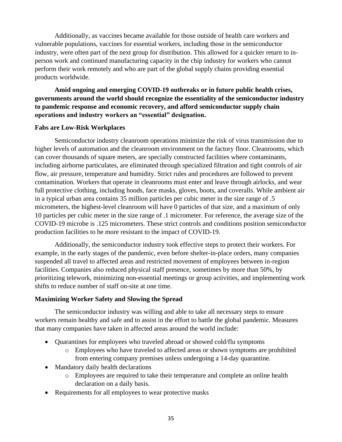Additionally, as vaccines became available for those outside of health care workers and vulnerable populations, vaccines for essential workers, including those in the semiconductor industry, were often part of the next group for distribution. This allowed for a quicker return to inperson work and continued manufacturing capacity in the chip industry for workers who cannot perform their work remotely and who are part of the global supply chains providing essential products worldwide.

**Amid ongoing and emerging COVID-19 outbreaks or in future public health crises, governments around the world should recognize the essentiality of the semiconductor industry to pandemic response and economic recovery, and afford semiconductor supply chain operations and industry workers an "essential" designation.**

#### **Fabs are Low-Risk Workplaces**

Semiconductor industry cleanroom operations minimize the risk of virus transmission due to higher levels of automation and the cleanroom environment on the factory floor. Cleanrooms, which can cover thousands of square meters, are specially constructed facilities where contaminants, including airborne particulates, are eliminated through specialized filtration and tight controls of air flow, air pressure, temperature and humidity. Strict rules and procedures are followed to prevent contamination. Workers that operate in cleanrooms must enter and leave through airlocks, and wear full protective clothing, including hoods, face masks, gloves, boots, and coveralls. While ambient air in a typical urban area contains 35 million particles per cubic meter in the size range of .5 micrometers, the highest-level cleanroom will have 0 particles of that size, and a maximum of only 10 particles per cubic meter in the size range of .1 micrometer. For reference, the average size of the COVID-19 microbe is .125 micrometers. These strict controls and conditions position semiconductor production facilities to be more resistant to the impact of COVID-19.

Additionally, the semiconductor industry took effective steps to protect their workers. For example, in the early stages of the pandemic, even before shelter-in-place orders, many companies suspended all travel to affected areas and restricted movement of employees between in-region facilities. Companies also reduced physical staff presence, sometimes by more than 50%, by prioritizing telework, minimizing non-essential meetings or group activities, and implementing work shifts to reduce number of staff on-site at one time.

#### **Maximizing Worker Safety and Slowing the Spread**

The semiconductor industry was willing and able to take all necessary steps to ensure workers remain healthy and safe and to assist in the effort to battle the global pandemic. Measures that many companies have taken in affected areas around the world include:

- Quarantines for employees who traveled abroad or showed cold/flu symptoms
	- o Employees who have traveled to affected areas or shown symptoms are prohibited from entering company premises unless undergoing a 14-day quarantine.
- Mandatory daily health declarations
	- o Employees are required to take their temperature and complete an online health declaration on a daily basis.
- Requirements for all employees to wear protective masks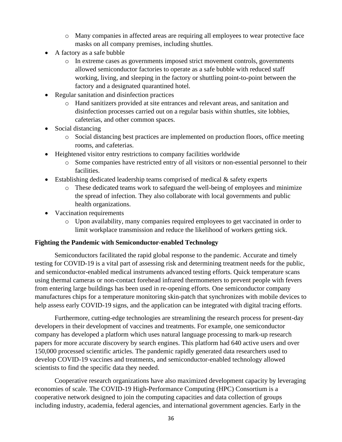- o Many companies in affected areas are requiring all employees to wear protective face masks on all company premises, including shuttles.
- A factory as a safe bubble
	- o In extreme cases as governments imposed strict movement controls, governments allowed semiconductor factories to operate as a safe bubble with reduced staff working, living, and sleeping in the factory or shuttling point-to-point between the factory and a designated quarantined hotel.
- Regular sanitation and disinfection practices
	- o Hand sanitizers provided at site entrances and relevant areas, and sanitation and disinfection processes carried out on a regular basis within shuttles, site lobbies, cafeterias, and other common spaces.
- Social distancing
	- o Social distancing best practices are implemented on production floors, office meeting rooms, and cafeterias.
- Heightened visitor entry restrictions to company facilities worldwide
	- o Some companies have restricted entry of all visitors or non-essential personnel to their facilities.
- Establishing dedicated leadership teams comprised of medical & safety experts
	- o These dedicated teams work to safeguard the well-being of employees and minimize the spread of infection. They also collaborate with local governments and public health organizations.
- Vaccination requirements
	- o Upon availability, many companies required employees to get vaccinated in order to limit workplace transmission and reduce the likelihood of workers getting sick.

#### **Fighting the Pandemic with Semiconductor-enabled Technology**

Semiconductors facilitated the rapid global response to the pandemic. Accurate and timely testing for COVID-19 is a vital part of assessing risk and determining treatment needs for the public, and semiconductor-enabled medical instruments advanced testing efforts. Quick temperature scans using thermal cameras or non-contact forehead infrared thermometers to prevent people with fevers from entering large buildings has been used in re-opening efforts. One semiconductor company manufactures chips for a temperature monitoring skin-patch that synchronizes with mobile devices to help assess early COVID-19 signs, and the application can be integrated with digital tracing efforts.

Furthermore, cutting-edge technologies are streamlining the research process for present-day developers in their development of vaccines and treatments. For example, one semiconductor company has developed a platform which uses natural language processing to mark-up research papers for more accurate discovery by search engines. This platform had 640 active users and over 150,000 processed scientific articles. The pandemic rapidly generated data researchers used to develop COVID-19 vaccines and treatments, and semiconductor-enabled technology allowed scientists to find the specific data they needed.

Cooperative research organizations have also maximized development capacity by leveraging economies of scale. The COVID-19 High-Performance Computing (HPC) Consortium is a cooperative network designed to join the computing capacities and data collection of groups including industry, academia, federal agencies, and international government agencies. Early in the